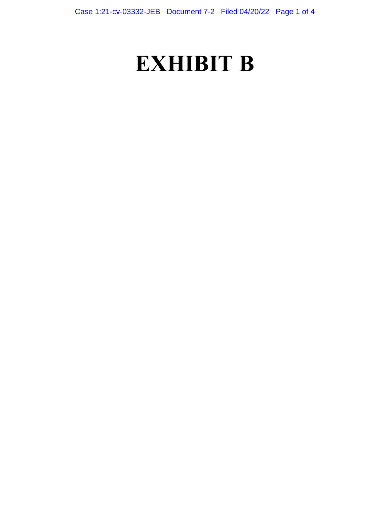# **EXHIBIT B**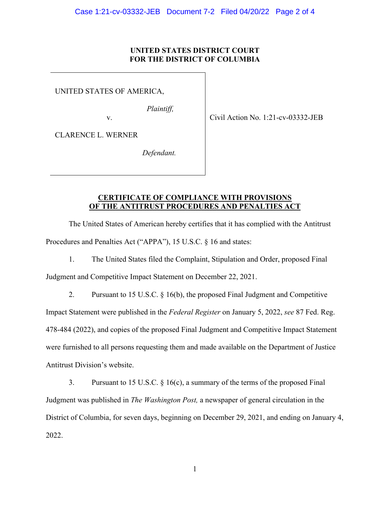### **UNITED STATES DISTRICT COURT FOR THE DISTRICT OF COLUMBIA**

UNITED STATES OF AMERICA,

*Plaintiff,* 

v. Civil Action No. 1:21-cv-03332-JEB

CLARENCE L. WERNER

*Defendant.* 

### **CERTIFICATE OF COMPLIANCE WITH PROVISIONS OF THE ANTITRUST PROCEDURES AND PENALTIES ACT**

 The United States of American hereby certifies that it has complied with the Antitrust Procedures and Penalties Act ("APPA"), 15 U.S.C. § 16 and states:

1. The United States filed the Complaint, Stipulation and Order, proposed Final

Judgment and Competitive Impact Statement on December 22, 2021.

 Impact Statement were published in the *Federal Register* on January 5, 2022, *see* 87 Fed. Reg. 2. Pursuant to 15 U.S.C. § 16(b), the proposed Final Judgment and Competitive 478-484 (2022), and copies of the proposed Final Judgment and Competitive Impact Statement were furnished to all persons requesting them and made available on the Department of Justice Antitrust Division's website.

3. Pursuant to 15 U.S.C.  $\S$  16(c), a summary of the terms of the proposed Final District of Columbia, for seven days, beginning on December 29, 2021, and ending on January 4, Judgment was published in *The Washington Post,* a newspaper of general circulation in the 2022.

1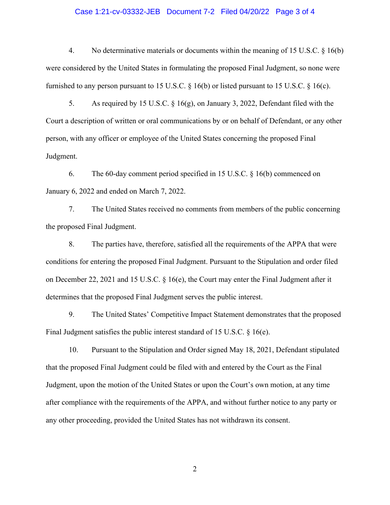#### Case 1:21-cv-03332-JEB Document 7-2 Filed 04/20/22 Page 3 of 4

4. No determinative materials or documents within the meaning of 15 U.S.C. § 16(b) were considered by the United States in formulating the proposed Final Judgment, so none were furnished to any person pursuant to 15 U.S.C.  $\S$  16(b) or listed pursuant to 15 U.S.C.  $\S$  16(c).

5. As required by 15 U.S.C.  $\S$  16(g), on January 3, 2022, Defendant filed with the Court a description of written or oral communications by or on behalf of Defendant, or any other person, with any officer or employee of the United States concerning the proposed Final Judgment.

6. The 60-day comment period specified in 15 U.S.C. § 16(b) commenced on January 6, 2022 and ended on March 7, 2022.

7. The United States received no comments from members of the public concerning the proposed Final Judgment.

8. The parties have, therefore, satisfied all the requirements of the APPA that were conditions for entering the proposed Final Judgment. Pursuant to the Stipulation and order filed on December 22, 2021 and 15 U.S.C. § 16(e), the Court may enter the Final Judgment after it determines that the proposed Final Judgment serves the public interest.

9. The United States' Competitive Impact Statement demonstrates that the proposed Final Judgment satisfies the public interest standard of 15 U.S.C. § 16(e).

 that the proposed Final Judgment could be filed with and entered by the Court as the Final 10. Pursuant to the Stipulation and Order signed May 18, 2021, Defendant stipulated Judgment, upon the motion of the United States or upon the Court's own motion, at any time after compliance with the requirements of the APPA, and without further notice to any party or any other proceeding, provided the United States has not withdrawn its consent.

2